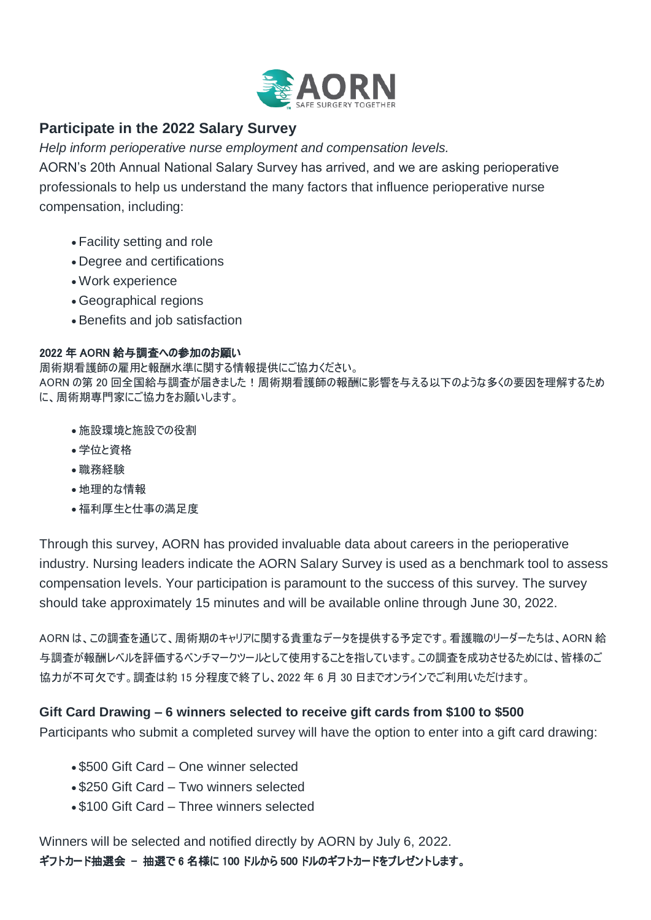

# **Participate in the 2022 Salary Survey**

*Help inform perioperative nurse employment and compensation levels.*

AORN's 20th Annual National Salary Survey has arrived, and we are asking perioperative professionals to help us understand the many factors that influence perioperative nurse compensation, including:

- Facility setting and role
- Degree and certifications
- Work experience
- Geographical regions
- Benefits and job satisfaction

### 2022 年 AORN 給与調査への参加のお願い

周術期看護師の雇用と報酬水準に関する情報提供にご協力ください。 AORN の第 20 回全国給与調査が届きました!周術期看護師の報酬に影響を与える以下のような多くの要因を理解するため に、周術期専門家にご協力をお願いします。

- 施設環境と施設での役割
- 学位と資格
- 職務経験
- 地理的な情報
- 福利厚生と仕事の満足度

Through this survey, AORN has provided invaluable data about careers in the perioperative industry. Nursing leaders indicate the AORN Salary Survey is used as a benchmark tool to assess compensation levels. Your participation is paramount to the success of this survey. The survey should take approximately 15 minutes and will be available online through June 30, 2022.

AORN は、この調査を通じて、周術期のキャリアに関する貴重なデータを提供する予定です。看護職のリーダーたちは、AORN 給 与調査が報酬レベルを評価するベンチマークツールとして使用することを指しています。この調査を成功させるためには、皆様のご 協力が不可欠です。調査は約 15 分程度で終了し、2022 年 6 月 30 日までオンラインでご利用いただけます。

## **Gift Card Drawing – 6 winners selected to receive gift cards from \$100 to \$500**

Participants who submit a completed survey will have the option to enter into a gift card drawing:

- \$500 Gift Card One winner selected
- \$250 Gift Card Two winners selected
- \$100 Gift Card Three winners selected

Winners will be selected and notified directly by AORN by July 6, 2022.

ギフトカード抽選会 - 抽選で 6 名様に 100 ドルから 500 ドルのギフトカードをプレゼントします。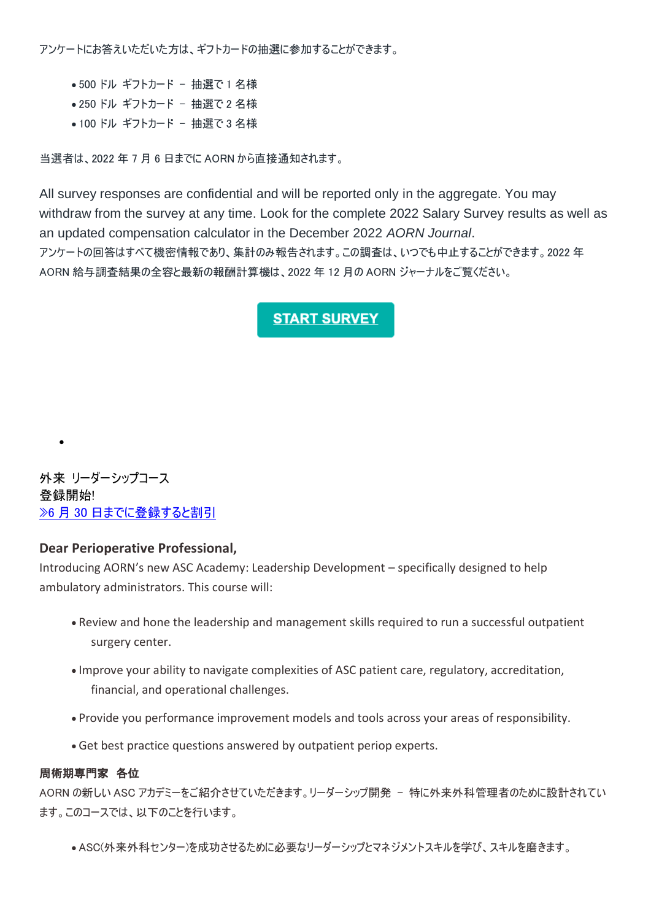アンケートにお答えいただいた方は、ギフトカードの抽選に参加することができます。

- ●500 ドル ギフトカード 抽選で1名様
- 250 ドル ギフトカード 抽選で 2 名様
- ●100 ドル ギフトカード 抽選で 3 名様

当選者は、2022 年 7 月 6 日までに AORN から直接通知されます。

All survey responses are confidential and will be reported only in the aggregate. You may withdraw from the survey at any time. Look for the complete 2022 Salary Survey results as well as an updated compensation calculator in the December 2022 *AORN Journal*. アンケートの回答はすべて機密情報であり、集計のみ報告されます。この調査は、いつでも中止することができます。2022 年 AORN 給与調査結果の全容と最新の報酬計算機は、2022 年 12 月の AORN ジャーナルをご覧ください。

## **START SURVEY**

外来 リーダーシップコース 登録開始! »6 月 30 [日までに登録すると割引](https://go.aorn.org/dc/KcPYFWxJMbasAdbPxqbyUnvnPJxamyNHpXKX7IJDtABV9OWYTGjlkZANj-nmK14TX1jHMb1Wb2Jv96cSN2bi4_zkC83fGPgI4LQzMigjhvVsvWVaXTAfU4gPHyThoRXbHC0qgRUlmHg3TaMeChwBY3aiMqtVsbE0D9rN25-PS8pQhLRWISJSL_84VAPKTBss/NTQ1LUtDUC0xNjMAAAGFCP-rUXW_dLPftFkAptmJn1tuOVKBPdIEspgAsPOwrqlt1bjAKC_UzN4nyWCIG9ufP7eSh6Q=)

 $\bullet$ 

### **Dear Perioperative Professional,**

Introducing AORN's new ASC Academy: Leadership Development – specifically designed to help ambulatory administrators. This course will:

- Review and hone the leadership and management skills required to run a successful outpatient surgery center.
- Improve your ability to navigate complexities of ASC patient care, regulatory, accreditation, financial, and operational challenges.
- Provide you performance improvement models and tools across your areas of responsibility.
- Get best practice questions answered by outpatient periop experts.

#### 周術期専門家 各位

AORN の新しい ASC アカデミーをご紹介させていただきます。リーダーシップ開発 - 特に外来外科管理者のために設計されてい ます。このコースでは、以下のことを行います。

ASC(外来外科センター)を成功させるために必要なリーダーシップとマネジメントスキルを学び、スキルを磨きます。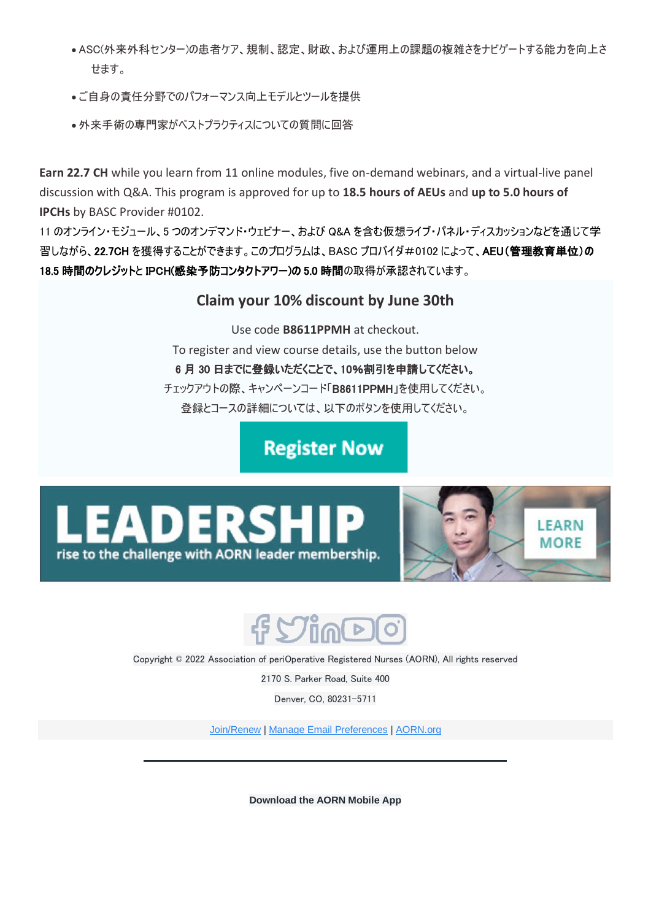- ASC(外来外科センター)の患者ケア、規制、認定、財政、および運用上の課題の複雑さをナビゲートする能力を向上さ せます。
- ご自身の責任分野でのパフォーマンス向上モデルとツールを提供
- 外来手術の専門家がベストプラクティスについての質問に回答

**Earn 22.7 CH** while you learn from 11 online modules, five on-demand webinars, and a virtual-live panel discussion with Q&A. This program is approved for up to **18.5 hours of AEUs** and **up to 5.0 hours of IPCHs** by BASC Provider #0102.

11 のオンライン・モジュール、5 つのオンデマンド・ウェビナー、および Q&A を含む仮想ライブ・パネル・ディスカッションなどを通じて学 習しながら、22.7CH を獲得することができます。このプログラムは、BASC プロバイダ#0102 によって、AEU(管理教育単位)の 18.5 時間のクレジットと IPCH(感染予防コンタクトアワー)の 5.0 時間の取得が承認されています。

# **Claim your 10% discount by June 30th**

Use code **B8611PPMH** at checkout. To register and view course details, use the button below 6 月 30 日までに登録いただくことで、10%割引を申請してください。 チェックアウトの際、キャンペーンコード「B8611PPMH」を使用してください。 登録とコースの詳細については、以下のボタンを使用してください。

**Register Now** 







Copyright © 2022 Association of periOperative Registered Nurses (AORN), All rights reserved

2170 S. Parker Road, Suite 400

Denver, CO, 80231-5711

[Join/Renew](https://go.aorn.org/dc/Zw5_MNU-wRVG3V1QnZ5FOqPi9Q_UR8qEh59Or4qCO9h7W2LVbTf1hJtvmaHOyUrrzDbK9OuzlVB2J2vTUdbkPH4RFUCxGI9jhvjFhVnbSx0eyKDCa374vjSLI9v97smBub4I2vJEHVeoTIBOkjPvmD2fYN2P06xtXnU6jQiYrL4=/NTQ1LUtDUC0xNjMAAAGBO0D_l6w85J7vUeEhPlTw-B6CLMTmIvmk5RJKsj2JGZmcA6hnbI7eWgF9hRhiz7BZ6D55iJU=) | [Manage Email Preferences](https://go.aorn.org/dc/IqJXjSh4I1je8QNAU1duChbV3A03opc3Cu_DrY2-COv_ePp5G2b0idstpXzVBvz6ssap3I_YgN_NIHml4T5G9sucr84byTH9Hfxqj1C0Pep4gPZOo6qizBsjl-jrKAsRP_w_Je78HVCrdVREIvHqpuoaGQ0KdkX4ELNGq4ayqY22zBBQZyFYbmd5jENVzlAH1pGldNzSjklDvj4YYmufeA==/NTQ1LUtDUC0xNjMAAAGBO0D_l6w85J7vUeEhPlTw-B6CLMTmIvmk5RJKsj2JGZmcA6hnbI7eWgF9hRhiz7BZ6D55iJU=) | [AORN.org](https://go.aorn.org/dc/KcPYFWxJMbasAdbPxqbyUiIqYhx1Y0l8XF42fphJhvI-qCBZ64ttg6bg-L2MGyDxxhKtnXITylGW1hNZIrDT6aWg6tOZiB_Bu8RsBP6LDYMu-EOGmLREQkC6VZ1VAi5Itg3uo5pcoAaeD-Uy4SvbCKFo4Kax-J1RIJixr6ggdmM=/NTQ1LUtDUC0xNjMAAAGBO0D_l6w85J7vUeEhPlTw-B6CLMTmIvmk5RJKsj2JGZmcA6hnbI7eWgF9hRhiz7BZ6D55iJU=)

**Download the AORN Mobile App**